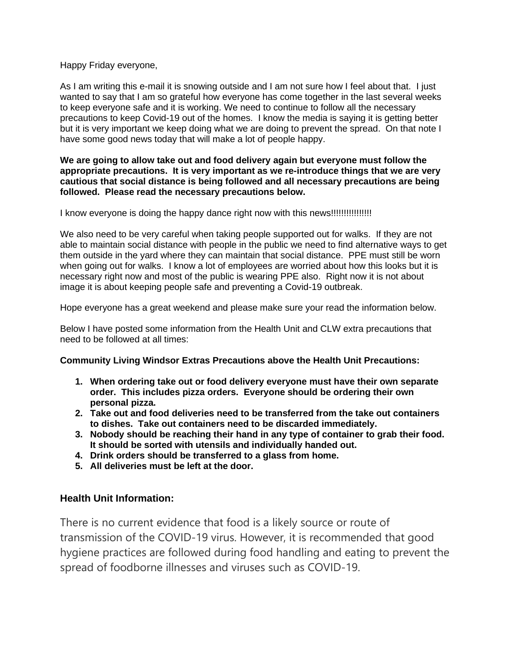Happy Friday everyone,

As I am writing this e-mail it is snowing outside and I am not sure how I feel about that. I just wanted to say that I am so grateful how everyone has come together in the last several weeks to keep everyone safe and it is working. We need to continue to follow all the necessary precautions to keep Covid-19 out of the homes. I know the media is saying it is getting better but it is very important we keep doing what we are doing to prevent the spread. On that note I have some good news today that will make a lot of people happy.

#### **We are going to allow take out and food delivery again but everyone must follow the appropriate precautions. It is very important as we re-introduce things that we are very cautious that social distance is being followed and all necessary precautions are being followed. Please read the necessary precautions below.**

I know everyone is doing the happy dance right now with this news!!!!!!!!!!!!!!!!

We also need to be very careful when taking people supported out for walks. If they are not able to maintain social distance with people in the public we need to find alternative ways to get them outside in the yard where they can maintain that social distance. PPE must still be worn when going out for walks. I know a lot of employees are worried about how this looks but it is necessary right now and most of the public is wearing PPE also. Right now it is not about image it is about keeping people safe and preventing a Covid-19 outbreak.

Hope everyone has a great weekend and please make sure your read the information below.

Below I have posted some information from the Health Unit and CLW extra precautions that need to be followed at all times:

### **Community Living Windsor Extras Precautions above the Health Unit Precautions:**

- **1. When ordering take out or food delivery everyone must have their own separate order. This includes pizza orders. Everyone should be ordering their own personal pizza.**
- **2. Take out and food deliveries need to be transferred from the take out containers to dishes. Take out containers need to be discarded immediately.**
- **3. Nobody should be reaching their hand in any type of container to grab their food. It should be sorted with utensils and individually handed out.**
- **4. Drink orders should be transferred to a glass from home.**
- **5. All deliveries must be left at the door.**

### **Health Unit Information:**

There is no current evidence that food is a likely source or route of transmission of the COVID-19 virus. However, it is recommended that good hygiene practices are followed during food handling and eating to prevent the spread of foodborne illnesses and viruses such as COVID-19.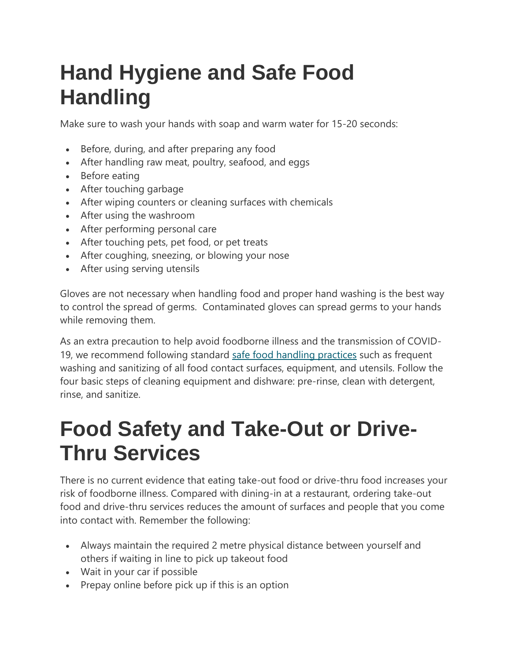# **Hand Hygiene and Safe Food Handling**

Make sure to wash your hands with soap and warm water for 15-20 seconds:

- Before, during, and after preparing any food
- After handling raw meat, poultry, seafood, and eggs
- Before eating
- After touching garbage
- After wiping counters or cleaning surfaces with chemicals
- After using the washroom
- After performing personal care
- After touching pets, pet food, or pet treats
- After coughing, sneezing, or blowing your nose
- After using serving utensils

Gloves are not necessary when handling food and proper hand washing is the best way to control the spread of germs. Contaminated gloves can spread germs to your hands while removing them.

As an extra precaution to help avoid foodborne illness and the transmission of COVID19, we recommend following standard [safe food handling practices](https://wechu.org/your-health/food-safety/safe-food-handling) such as frequent washing and sanitizing of all food contact surfaces, equipment, and utensils. Follow the four basic steps of cleaning equipment and dishware: pre-rinse, clean with detergent, rinse, and sanitize.

## **Food Safety and Take-Out or Drive-Thru Services**

There is no current evidence that eating take-out food or drive-thru food increases your risk of foodborne illness. Compared with dining-in at a restaurant, ordering take-out food and drive-thru services reduces the amount of surfaces and people that you come into contact with. Remember the following:

- Always maintain the required 2 metre physical distance between yourself and others if waiting in line to pick up takeout food
- Wait in your car if possible
- Prepay online before pick up if this is an option